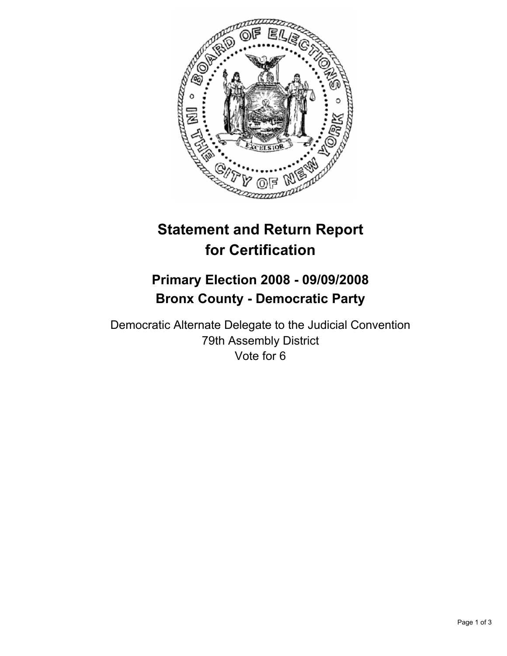

## **Statement and Return Report for Certification**

## **Primary Election 2008 - 09/09/2008 Bronx County - Democratic Party**

Democratic Alternate Delegate to the Judicial Convention 79th Assembly District Vote for 6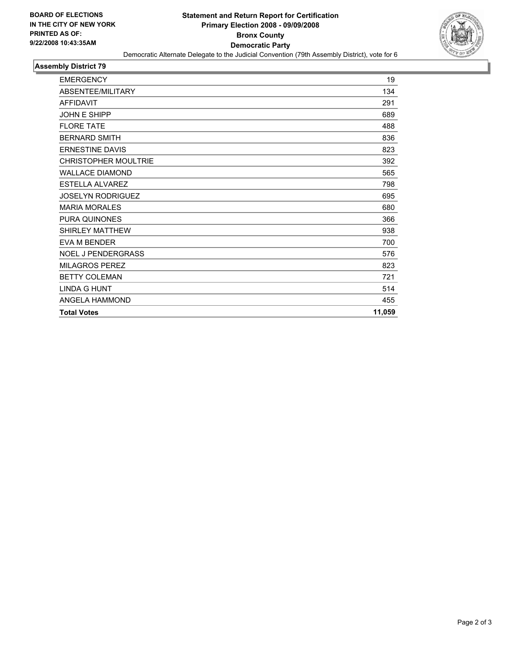

## **Assembly District 79**

| <b>FMFRGFNCY</b>            | 19     |
|-----------------------------|--------|
| ABSENTEE/MILITARY           | 134    |
| <b>AFFIDAVIT</b>            | 291    |
| <b>JOHN E SHIPP</b>         | 689    |
| <b>FLORE TATE</b>           | 488    |
| <b>BERNARD SMITH</b>        | 836    |
| <b>ERNESTINE DAVIS</b>      | 823    |
| <b>CHRISTOPHER MOULTRIE</b> | 392    |
| <b>WALLACE DIAMOND</b>      | 565    |
| <b>ESTELLA ALVAREZ</b>      | 798    |
| <b>JOSELYN RODRIGUEZ</b>    | 695    |
| <b>MARIA MORALES</b>        | 680    |
| PURA QUINONES               | 366    |
| <b>SHIRLEY MATTHEW</b>      | 938    |
| <b>EVA M BENDER</b>         | 700    |
| <b>NOEL J PENDERGRASS</b>   | 576    |
| <b>MILAGROS PEREZ</b>       | 823    |
| <b>BETTY COLEMAN</b>        | 721    |
| <b>LINDA G HUNT</b>         | 514    |
| ANGELA HAMMOND              | 455    |
| <b>Total Votes</b>          | 11,059 |